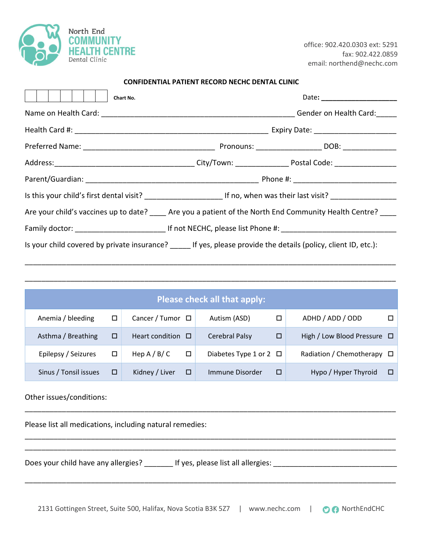

office: 902.420.0303 ext: 5291 fax: 902.422.0859 email: northend@nechc.com

| <b>CONFIDENTIAL PATIENT RECORD NECHC DENTAL CLINIC</b> |  |
|--------------------------------------------------------|--|
|--------------------------------------------------------|--|

| Chart No.                                                                                                 |                                                                                                                                         | Date: __________________________ |  |  |  |  |  |  |  |  |
|-----------------------------------------------------------------------------------------------------------|-----------------------------------------------------------------------------------------------------------------------------------------|----------------------------------|--|--|--|--|--|--|--|--|
|                                                                                                           |                                                                                                                                         |                                  |  |  |  |  |  |  |  |  |
|                                                                                                           |                                                                                                                                         |                                  |  |  |  |  |  |  |  |  |
|                                                                                                           |                                                                                                                                         |                                  |  |  |  |  |  |  |  |  |
|                                                                                                           |                                                                                                                                         |                                  |  |  |  |  |  |  |  |  |
|                                                                                                           |                                                                                                                                         |                                  |  |  |  |  |  |  |  |  |
|                                                                                                           | Is this your child's first dental visit? ____________________________ If no, when was their last visit? _______________________________ |                                  |  |  |  |  |  |  |  |  |
|                                                                                                           | Are your child's vaccines up to date? ____ Are you a patient of the North End Community Health Centre? ___                              |                                  |  |  |  |  |  |  |  |  |
|                                                                                                           |                                                                                                                                         |                                  |  |  |  |  |  |  |  |  |
| Is your child covered by private insurance? If yes, please provide the details (policy, client ID, etc.): |                                                                                                                                         |                                  |  |  |  |  |  |  |  |  |

|                       |   |                        |        | Please check all that apply: |   |                                  |    |
|-----------------------|---|------------------------|--------|------------------------------|---|----------------------------------|----|
| Anemia / bleeding     | □ | Cancer / Tumor $\Box$  |        | Autism (ASD)                 |   | ADHD / ADD / ODD                 |    |
| Asthma / Breathing    | □ | Heart condition $\Box$ |        | <b>Cerebral Palsy</b>        | □ | High / Low Blood Pressure $\Box$ |    |
| Epilepsy / Seizures   | □ | Hep $A / B / C$        | $\Box$ | Diabetes Type 1 or 2 $\Box$  |   | Radiation / Chemotherapy         | □∣ |
| Sinus / Tonsil issues | □ | Kidney / Liver         | □      | Immune Disorder              | □ | Hypo / Hyper Thyroid             | □  |

\_\_\_\_\_\_\_\_\_\_\_\_\_\_\_\_\_\_\_\_\_\_\_\_\_\_\_\_\_\_\_\_\_\_\_\_\_\_\_\_\_\_\_\_\_\_\_\_\_\_\_\_\_\_\_\_\_\_\_\_\_\_\_\_\_\_\_\_\_\_\_\_\_\_\_\_\_\_\_\_\_\_\_\_\_\_\_\_\_\_

\_\_\_\_\_\_\_\_\_\_\_\_\_\_\_\_\_\_\_\_\_\_\_\_\_\_\_\_\_\_\_\_\_\_\_\_\_\_\_\_\_\_\_\_\_\_\_\_\_\_\_\_\_\_\_\_\_\_\_\_\_\_\_\_\_\_\_\_\_\_\_\_\_\_\_\_\_\_\_\_\_\_\_\_\_\_\_\_\_\_

\_\_\_\_\_\_\_\_\_\_\_\_\_\_\_\_\_\_\_\_\_\_\_\_\_\_\_\_\_\_\_\_\_\_\_\_\_\_\_\_\_\_\_\_\_\_\_\_\_\_\_\_\_\_\_\_\_\_\_\_\_\_\_\_\_\_\_\_\_\_\_\_\_\_\_\_\_\_\_\_\_\_\_\_\_\_\_\_\_\_

\_\_\_\_\_\_\_\_\_\_\_\_\_\_\_\_\_\_\_\_\_\_\_\_\_\_\_\_\_\_\_\_\_\_\_\_\_\_\_\_\_\_\_\_\_\_\_\_\_\_\_\_\_\_\_\_\_\_\_\_\_\_\_\_\_\_\_\_\_\_\_\_\_\_\_\_\_\_\_\_\_\_\_\_\_\_\_\_\_\_

\_\_\_\_\_\_\_\_\_\_\_\_\_\_\_\_\_\_\_\_\_\_\_\_\_\_\_\_\_\_\_\_\_\_\_\_\_\_\_\_\_\_\_\_\_\_\_\_\_\_\_\_\_\_\_\_\_\_\_\_\_\_\_\_\_\_\_\_\_\_\_\_\_\_\_\_\_\_\_\_\_\_\_\_\_\_\_\_\_\_

Other issues/conditions:

Please list all medications, including natural remedies:

Does your child have any allergies? \_\_\_\_\_\_\_ If yes, please list all allergies: \_\_\_\_\_\_\_\_\_\_\_\_\_\_\_\_\_\_\_\_\_\_\_\_\_\_\_\_\_\_\_



\_\_\_\_\_\_\_\_\_\_\_\_\_\_\_\_\_\_\_\_\_\_\_\_\_\_\_\_\_\_\_\_\_\_\_\_\_\_\_\_\_\_\_\_\_\_\_\_\_\_\_\_\_\_\_\_\_\_\_\_\_\_\_\_\_\_\_\_\_\_\_\_\_\_\_\_\_\_\_\_\_\_\_\_\_\_\_\_\_\_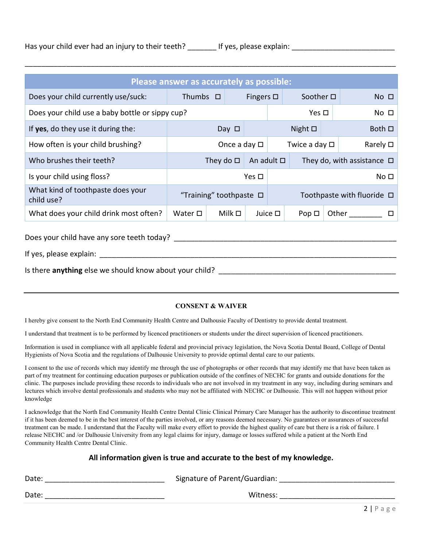|  | Has your child ever had an injury to their teeth? |  | If yes, please explain: |  |
|--|---------------------------------------------------|--|-------------------------|--|
|--|---------------------------------------------------|--|-------------------------|--|

|                                                         | Please answer as accurately as possible: |                                 |            |                 |                       |  |                                    |  |  |
|---------------------------------------------------------|------------------------------------------|---------------------------------|------------|-----------------|-----------------------|--|------------------------------------|--|--|
| Does your child currently use/suck:                     | Fingers $\square$                        | Soother $\square$               |            | $No$ $\square$  |                       |  |                                    |  |  |
| Does your child use a baby bottle or sippy cup?         |                                          |                                 |            |                 | Yes $\Box$            |  | No <sub>1</sub>                    |  |  |
| If yes, do they use it during the:                      |                                          | Day $\Box$                      |            |                 | Night $\square$       |  | Both $\square$                     |  |  |
| How often is your child brushing?                       |                                          | Once a day $\square$            |            |                 | Twice a day $\square$ |  | Rarely $\square$                   |  |  |
| Who brushes their teeth?                                |                                          | They do $\Box$ An adult $\Box$  |            |                 |                       |  | They do, with assistance $\Box$    |  |  |
| Is your child using floss?                              |                                          |                                 | Yes $\Box$ | No <sub>D</sub> |                       |  |                                    |  |  |
| What kind of toothpaste does your<br>child use?         |                                          | "Training" toothpaste $\square$ |            |                 |                       |  | Toothpaste with fluoride $\square$ |  |  |
| What does your child drink most often?                  | Water $\square$                          | Milk $\square$                  |            | Juice $\square$ | $Pop \Box$            |  | Other                              |  |  |
| Does your child have any sore teeth today?              |                                          |                                 |            |                 |                       |  |                                    |  |  |
| If yes, please explain:                                 |                                          |                                 |            |                 |                       |  |                                    |  |  |
| Is there anything else we should know about your child? |                                          |                                 |            |                 |                       |  |                                    |  |  |

\_\_\_\_\_\_\_\_\_\_\_\_\_\_\_\_\_\_\_\_\_\_\_\_\_\_\_\_\_\_\_\_\_\_\_\_\_\_\_\_\_\_\_\_\_\_\_\_\_\_\_\_\_\_\_\_\_\_\_\_\_\_\_\_\_\_\_\_\_\_\_\_\_\_\_\_\_\_\_\_\_\_\_\_\_\_\_\_\_\_

## CONSENT & WAIVER

I hereby give consent to the North End Community Health Centre and Dalhousie Faculty of Dentistry to provide dental treatment.

I understand that treatment is to be performed by licenced practitioners or students under the direct supervision of licenced practitioners.

Information is used in compliance with all applicable federal and provincial privacy legislation, the Nova Scotia Dental Board, College of Dental Hygienists of Nova Scotia and the regulations of Dalhousie University to provide optimal dental care to our patients.

I consent to the use of records which may identify me through the use of photographs or other records that may identify me that have been taken as part of my treatment for continuing education purposes or publication outside of the confines of NECHC for grants and outside donations for the clinic. The purposes include providing these records to individuals who are not involved in my treatment in any way, including during seminars and lectures which involve dental professionals and students who may not be affiliated with NECHC or Dalhousie. This will not happen without prior knowledge

I acknowledge that the North End Community Health Centre Dental Clinic Clinical Primary Care Manager has the authority to discontinue treatment if it has been deemed to be in the best interest of the parties involved, or any reasons deemed necessary. No guarantees or assurances of successful treatment can be made. I understand that the Faculty will make every effort to provide the highest quality of care but there is a risk of failure. I release NECHC and /or Dalhousie University from any legal claims for injury, damage or losses suffered while a patient at the North End Community Health Centre Dental Clinic.

## All information given is true and accurate to the best of my knowledge.

| Date: | Signature of Parent/Guardian: |
|-------|-------------------------------|
| Date: | Witness:                      |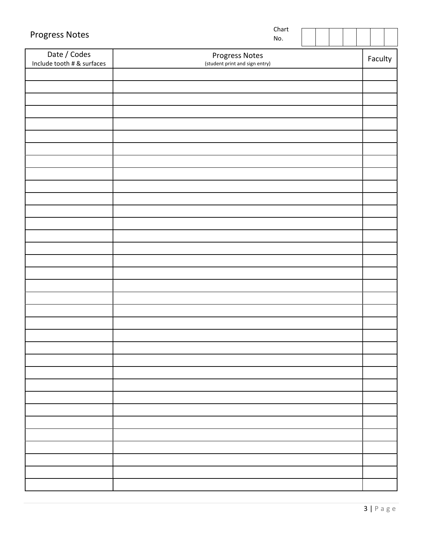| Date / Codes<br>Progress Notes<br>Faculty<br>Include tooth # & surfaces<br>(student print and sign entry) | <b>Progress Notes</b> | Chart<br>No. |  |  |  |  |
|-----------------------------------------------------------------------------------------------------------|-----------------------|--------------|--|--|--|--|
|                                                                                                           |                       |              |  |  |  |  |
|                                                                                                           |                       |              |  |  |  |  |
|                                                                                                           |                       |              |  |  |  |  |
|                                                                                                           |                       |              |  |  |  |  |
|                                                                                                           |                       |              |  |  |  |  |
|                                                                                                           |                       |              |  |  |  |  |
|                                                                                                           |                       |              |  |  |  |  |
|                                                                                                           |                       |              |  |  |  |  |
|                                                                                                           |                       |              |  |  |  |  |
|                                                                                                           |                       |              |  |  |  |  |
|                                                                                                           |                       |              |  |  |  |  |
|                                                                                                           |                       |              |  |  |  |  |
|                                                                                                           |                       |              |  |  |  |  |
|                                                                                                           |                       |              |  |  |  |  |
|                                                                                                           |                       |              |  |  |  |  |
|                                                                                                           |                       |              |  |  |  |  |
|                                                                                                           |                       |              |  |  |  |  |
|                                                                                                           |                       |              |  |  |  |  |
|                                                                                                           |                       |              |  |  |  |  |
|                                                                                                           |                       |              |  |  |  |  |
|                                                                                                           |                       |              |  |  |  |  |
|                                                                                                           |                       |              |  |  |  |  |
|                                                                                                           |                       |              |  |  |  |  |
|                                                                                                           |                       |              |  |  |  |  |
|                                                                                                           |                       |              |  |  |  |  |
|                                                                                                           |                       |              |  |  |  |  |
|                                                                                                           |                       |              |  |  |  |  |
|                                                                                                           |                       |              |  |  |  |  |
|                                                                                                           |                       |              |  |  |  |  |
|                                                                                                           |                       |              |  |  |  |  |
|                                                                                                           |                       |              |  |  |  |  |